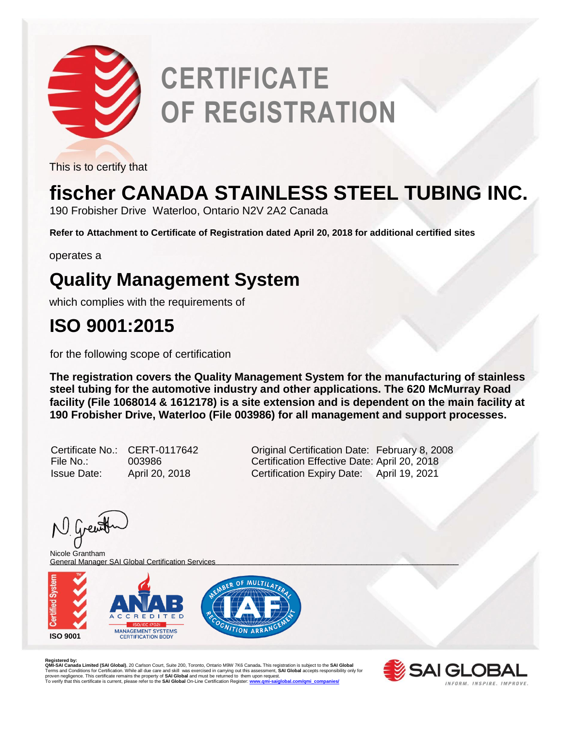

# **CERTIFICATE OF REGISTRATION**

This is to certify that

## **fischer CANADA STAINLESS STEEL TUBING INC.**

190 Frobisher Drive Waterloo, Ontario N2V 2A2 Canada

**Refer to Attachment to Certificate of Registration dated April 20, 2018 for additional certified sites**

operates a

### **Quality Management System**

which complies with the requirements of

### **ISO 9001:2015**

for the following scope of certification

**The registration covers the Quality Management System for the manufacturing of stainless steel tubing for the automotive industry and other applications. The 620 McMurray Road facility (File 1068014 & 1612178) is a site extension and is dependent on the main facility at 190 Frobisher Drive, Waterloo (File 003986) for all management and support processes.** 

| Certificate No.:   | CER <sup>-</sup> |
|--------------------|------------------|
| File No.:          | 0039             |
| <b>Issue Date:</b> | April            |

T-0117642 **Criginal Certification Date: February 8, 2008** File 186 Certification Effective Date: April 20, 2018 Issue Date: April 20, 2018 Certification Expiry Date: April 19, 2021

N Grew

\_\_\_\_\_\_\_\_\_\_\_\_\_\_\_\_\_\_\_\_\_\_\_\_\_\_\_\_\_\_\_\_\_\_\_\_\_\_\_\_\_\_\_\_\_\_\_\_\_\_\_\_\_\_\_\_\_\_\_\_\_\_\_\_\_\_\_\_\_\_\_\_\_\_\_\_\_\_\_\_ General Manager SAI Global Certification ServicesNicole Grantham



**Registered by:**<br>QMI-SAI Canada Limited (SAI Global), 20 Carlson Court, Suite 200, Toronto, Ontario M9W 7K6 Canada. This registration is subject to the SAI Global<br>Terms and Conditions for Certification. While all due care